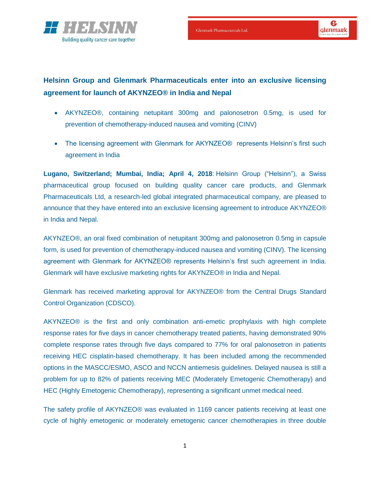

# **Helsinn Group and Glenmark Pharmaceuticals enter into an exclusive licensing agreement for launch of AKYNZEO® in India and Nepal**

- AKYNZEO®, containing netupitant 300mg and palonosetron 0.5mg, is used for prevention of chemotherapy-induced nausea and vomiting (CINV)
- The licensing agreement with Glenmark for AKYNZEO® represents Helsinn's first such agreement in India

**Lugano, Switzerland; Mumbai, India; April 4, 2018**: Helsinn Group ("Helsinn"), a Swiss pharmaceutical group focused on building quality cancer care products, and Glenmark Pharmaceuticals Ltd, a research-led global integrated pharmaceutical company, are pleased to announce that they have entered into an exclusive licensing agreement to introduce AKYNZEO® in India and Nepal.

AKYNZEO®, an oral fixed combination of netupitant 300mg and palonosetron 0.5mg in capsule form, is used for prevention of chemotherapy-induced nausea and vomiting (CINV). The licensing agreement with Glenmark for AKYNZEO® represents Helsinn's first such agreement in India. Glenmark will have exclusive marketing rights for AKYNZEO® in India and Nepal.

Glenmark has received marketing approval for AKYNZEO® from the Central Drugs Standard Control Organization (CDSCO).

AKYNZEO® is the first and only combination anti-emetic prophylaxis with high complete response rates for five days in cancer chemotherapy treated patients, having demonstrated 90% complete response rates through five days compared to 77% for oral palonosetron in patients receiving HEC cisplatin-based chemotherapy. It has been included among the recommended options in the MASCC/ESMO, ASCO and NCCN antiemesis guidelines. Delayed nausea is still a problem for up to 82% of patients receiving MEC (Moderately Emetogenic Chemotherapy) and HEC (Highly Emetogenic Chemotherapy), representing a significant unmet medical need.

The safety profile of AKYNZEO® was evaluated in 1169 cancer patients receiving at least one cycle of highly emetogenic or moderately emetogenic cancer chemotherapies in three double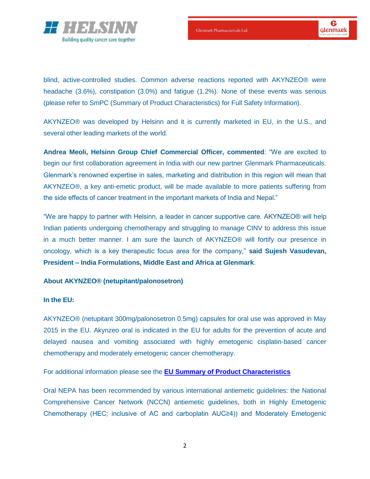

blind, active-controlled studies. Common adverse reactions reported with AKYNZEO® were headache (3.6%), constipation (3.0%) and fatigue (1.2%). None of these events was serious (please refer to SmPC (Summary of Product Characteristics) for Full Safety Information).

AKYNZEO® was developed by Helsinn and it is currently marketed in EU, in the U.S., and several other leading markets of the world.

**Andrea Meoli, Helsinn Group Chief Commercial Officer, commented**: "We are excited to begin our first collaboration agreement in India with our new partner Glenmark Pharmaceuticals. Glenmark's renowned expertise in sales, marketing and distribution in this region will mean that AKYNZEO®, a key anti-emetic product, will be made available to more patients suffering from the side effects of cancer treatment in the important markets of India and Nepal."

"We are happy to partner with Helsinn, a leader in cancer supportive care. AKYNZEO® will help Indian patients undergoing chemotherapy and struggling to manage CINV to address this issue in a much better manner. I am sure the launch of AKYNZEO® will fortify our presence in oncology, which is a key therapeutic focus area for the company," **said Sujesh Vasudevan, President – India Formulations, Middle East and Africa at Glenmark**.

## **About AKYNZEO® (netupitant/palonosetron)**

## **In the EU:**

AKYNZEO® (netupitant 300mg/palonosetron 0.5mg) capsules for oral use was approved in May 2015 in the EU. Akynzeo oral is indicated in the EU for adults for the prevention of acute and delayed nausea and vomiting associated with highly emetogenic cisplatin-based cancer chemotherapy and moderately emetogenic cancer chemotherapy.

For additional information please see the **EU [Summary of Product Characteristics](http://www.ema.europa.eu/docs/en_GB/document_library/EPAR_-_Product_Information/human/003728/WC500188432.pdf)**

Oral NEPA has been recommended by various international antiemetic guidelines: the National Comprehensive Cancer Network (NCCN) antiemetic guidelines, both in Highly Emetogenic Chemotherapy (HEC; inclusive of AC and carboplatin AUC≥4)) and Moderately Emetogenic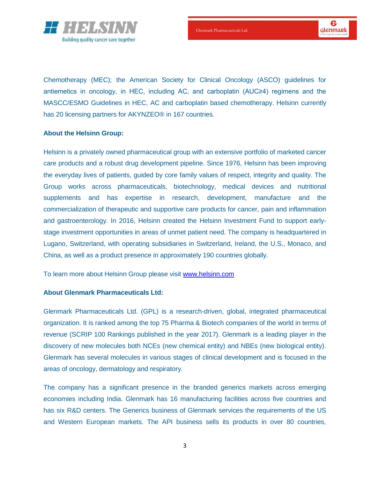

 $\bf{e}$ **Glenmark** 

Chemotherapy (MEC); the American Society for Clinical Oncology (ASCO) guidelines for antiemetics in oncology, in HEC, including AC, and carboplatin (AUC≥4) regimens and the MASCC/ESMO Guidelines in HEC, AC and carboplatin based chemotherapy. Helsinn currently has 20 licensing partners for AKYNZEO® in 167 countries.

#### **About the Helsinn Group:**

Helsinn is a privately owned pharmaceutical group with an extensive portfolio of marketed cancer care products and a robust drug development pipeline. Since 1976, Helsinn has been improving the everyday lives of patients, guided by core family values of respect, integrity and quality. The Group works across pharmaceuticals, biotechnology, medical devices and nutritional supplements and has expertise in research, development, manufacture and the commercialization of therapeutic and supportive care products for cancer, pain and inflammation and gastroenterology. In 2016, Helsinn created the Helsinn Investment Fund to support earlystage investment opportunities in areas of unmet patient need. The company is headquartered in Lugano, Switzerland, with operating subsidiaries in Switzerland, Ireland, the U.S., Monaco, and China, as well as a product presence in approximately 190 countries globally.

To learn more about Helsinn Group please visit [www.helsinn.com](http://www.helsinn.com/) 

#### **About Glenmark Pharmaceuticals Ltd:**

Glenmark Pharmaceuticals Ltd. (GPL) is a research-driven, global, integrated pharmaceutical organization. It is ranked among the top 75 Pharma & Biotech companies of the world in terms of revenue (SCRIP 100 Rankings published in the year 2017). Glenmark is a leading player in the discovery of new molecules both NCEs (new chemical entity) and NBEs (new biological entity). Glenmark has several molecules in various stages of clinical development and is focused in the areas of oncology, dermatology and respiratory.

The company has a significant presence in the branded generics markets across emerging economies including India. Glenmark has 16 manufacturing facilities across five countries and has six R&D centers. The Generics business of Glenmark services the requirements of the US and Western European markets. The API business sells its products in over 80 countries,